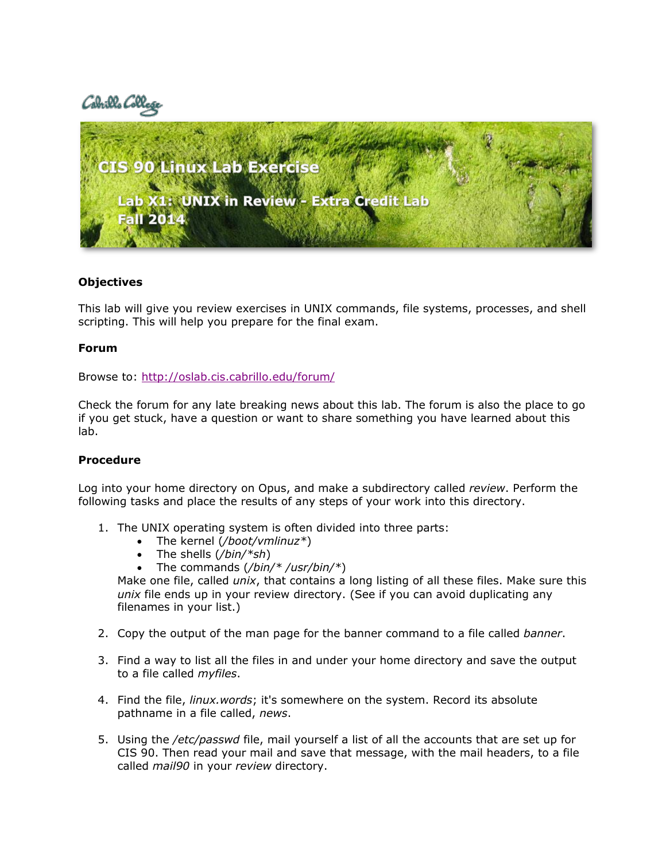# Cabrilla C



## **Objectives**

This lab will give you review exercises in UNIX commands, file systems, processes, and shell scripting. This will help you prepare for the final exam.

#### **Forum**

Browse to:<http://oslab.cis.cabrillo.edu/forum/>

Check the forum for any late breaking news about this lab. The forum is also the place to go if you get stuck, have a question or want to share something you have learned about this lab.

#### **Procedure**

Log into your home directory on Opus, and make a subdirectory called *review*. Perform the following tasks and place the results of any steps of your work into this directory.

- 1. The UNIX operating system is often divided into three parts:
	- The kernel (*/boot/vmlinuz\**)
	- The shells (*/bin/\*sh*)
	- The commands (*/bin/\* /usr/bin/\**)

Make one file, called *unix*, that contains a long listing of all these files. Make sure this *unix* file ends up in your review directory. (See if you can avoid duplicating any filenames in your list.)

- 2. Copy the output of the man page for the banner command to a file called *banner*.
- 3. Find a way to list all the files in and under your home directory and save the output to a file called *myfiles*.
- 4. Find the file, *linux.words*; it's somewhere on the system. Record its absolute pathname in a file called, *news*.
- 5. Using the */etc/passwd* file, mail yourself a list of all the accounts that are set up for CIS 90. Then read your mail and save that message, with the mail headers, to a file called *mail90* in your *review* directory.